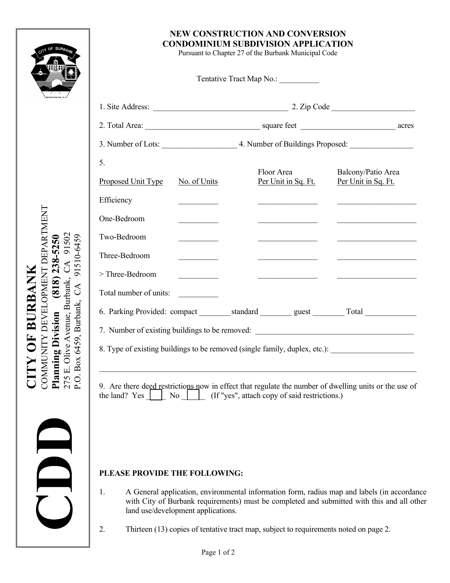

**CITY OF BURBANK** COMMUNITY DEVELOPMENT DEPARTMENT

**CITY OF BURBANK** 

COMMUNITY DEVELOPMENT DEPARTMENT

**Planning Division (818) 238-5250**  275 E. Olive Avenue, Burbank, CA 91502 P.O. Box 6459, Burbank, CA 91510-6459

**Planning Division** 

275 E. Olive Avenue, Burbank, P.O. Box 6459, Burbank, CA

 $(818)$  238-5250  $CA$ 

91502

91510-6459

## **NEW CONSTRUCTION AND CONVERSION CONDOMINIUM SUBDIVISION APPLICATION**

Pursuant to Chapter 27 of the Burbank Municipal Code

| 5.                     |                                                                                                                                                                                                                                      |  |                                                     |                                                                                                      |
|------------------------|--------------------------------------------------------------------------------------------------------------------------------------------------------------------------------------------------------------------------------------|--|-----------------------------------------------------|------------------------------------------------------------------------------------------------------|
| Proposed Unit Type     | No. of Units                                                                                                                                                                                                                         |  | Floor Area<br>Per Unit in Sq. Ft.                   | Balcony/Patio Area<br>Per Unit in Sq. Ft.                                                            |
| Efficiency             | <u> 1999 - John Barnett, fransk politiker</u>                                                                                                                                                                                        |  | <u> 1989 - Johann Barbara, martin a</u>             |                                                                                                      |
| One-Bedroom            |                                                                                                                                                                                                                                      |  |                                                     |                                                                                                      |
| Two-Bedroom            |                                                                                                                                                                                                                                      |  |                                                     |                                                                                                      |
| Three-Bedroom          | <u> The Communication of the Communication of the Communication of the Communication of the Communication of the Communication of the Communication of the Communication of the Communication of the Communication of the Commun</u> |  |                                                     |                                                                                                      |
| > Three-Bedroom        | <u> 1990 - Jan Barnett, politik e</u>                                                                                                                                                                                                |  | <u> 1989 - Andrea Station Barbara, amerikan per</u> |                                                                                                      |
| Total number of units: | <u>and the state of the state of the state of the state of the state of the state of the state of the state of the state of the state of the state of the state of the state of the state of the state of the state of the state</u> |  |                                                     |                                                                                                      |
|                        |                                                                                                                                                                                                                                      |  |                                                     |                                                                                                      |
|                        |                                                                                                                                                                                                                                      |  |                                                     | 7. Number of existing buildings to be removed: __________________________________                    |
|                        |                                                                                                                                                                                                                                      |  |                                                     | 8. Type of existing buildings to be removed (single family, duplex, etc.): _________________________ |
|                        |                                                                                                                                                                                                                                      |  |                                                     |                                                                                                      |

## **PLEASE PROVIDE THE FOLLOWING:**

- 1. A General application, environmental information form, radius map and labels (in accordance with City of Burbank requirements) must be completed and submitted with this and all other land use/development applications.
- 2. Thirteen (13) copies of tentative tract map, subject to requirements noted on page 2.